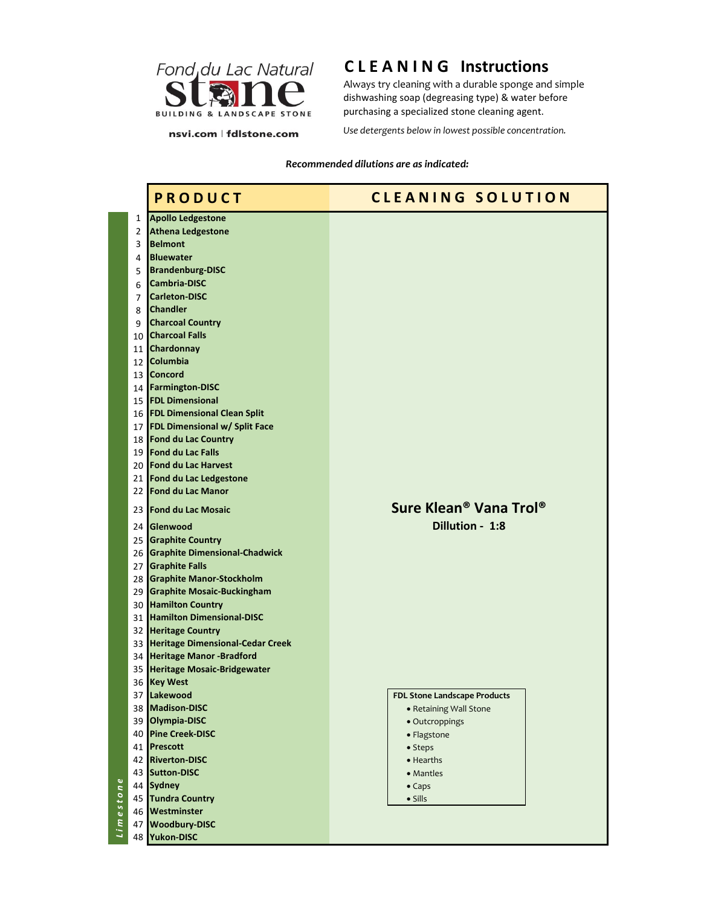

## **C L E A N I N G Instructions**

Always try cleaning with a durable sponge and simple dishwashing soap (degreasing type) & water before purchasing a specialized stone cleaning agent.

nsvi.com | fdlstone.com

*Use detergents below in lowest possible concentration.* 

## *Recommended dilutions are as indicated:*

|                          |              | <b>PRODUCT</b>                        | <b>CLEANING SOLUTION</b>                       |
|--------------------------|--------------|---------------------------------------|------------------------------------------------|
|                          | $\mathbf{1}$ | <b>Apollo Ledgestone</b>              |                                                |
|                          | 2            | <b>Athena Ledgestone</b>              |                                                |
|                          | 3            | <b>Belmont</b>                        |                                                |
|                          | 4            | <b>Bluewater</b>                      |                                                |
|                          | 5            | <b>Brandenburg-DISC</b>               |                                                |
|                          | 6            | <b>Cambria-DISC</b>                   |                                                |
|                          | 7            | <b>Carleton-DISC</b>                  |                                                |
|                          | 8            | <b>Chandler</b>                       |                                                |
|                          | 9            | <b>Charcoal Country</b>               |                                                |
|                          |              | 10 Charcoal Falls                     |                                                |
|                          |              | 11 Chardonnay                         |                                                |
|                          |              | 12 Columbia                           |                                                |
|                          |              | 13 Concord                            |                                                |
|                          |              | 14 Farmington-DISC                    |                                                |
|                          |              | 15 <b>FDL Dimensional</b>             |                                                |
|                          |              | 16 FDL Dimensional Clean Split        |                                                |
|                          |              | 17 FDL Dimensional w/ Split Face      |                                                |
|                          |              | 18 Fond du Lac Country                |                                                |
|                          |              | 19 Fond du Lac Falls                  |                                                |
|                          |              | 20 Fond du Lac Harvest                |                                                |
|                          |              | 21 Fond du Lac Ledgestone             |                                                |
|                          |              | 22 Fond du Lac Manor                  |                                                |
|                          |              |                                       | Sure Klean <sup>®</sup> Vana Trol <sup>®</sup> |
|                          |              | 23 Fond du Lac Mosaic                 |                                                |
|                          |              | 24 Glenwood                           | Dillution - 1:8                                |
|                          |              | 25 Graphite Country                   |                                                |
|                          |              | 26 Graphite Dimensional-Chadwick      |                                                |
|                          |              | 27 Graphite Falls                     |                                                |
|                          |              | 28 Graphite Manor-Stockholm           |                                                |
|                          |              | 29 Graphite Mosaic-Buckingham         |                                                |
|                          |              | 30 Hamilton Country                   |                                                |
|                          |              | 31 Hamilton Dimensional-DISC          |                                                |
|                          |              | 32 Heritage Country                   |                                                |
|                          |              | 33 Heritage Dimensional-Cedar Creek   |                                                |
|                          |              | 34 Heritage Manor -Bradford           |                                                |
|                          |              | 35 Heritage Mosaic-Bridgewater        |                                                |
|                          |              | 36 Key West                           |                                                |
|                          |              | 37 Lakewood                           | <b>FDL Stone Landscape Products</b>            |
|                          | 38           | <b>Madison-DISC</b>                   | • Retaining Wall Stone                         |
|                          |              | 39 Olympia-DISC                       | · Outcroppings                                 |
|                          |              | 40 Pine Creek-DISC                    | • Flagstone                                    |
|                          |              | 41 Prescott                           | • Steps                                        |
|                          |              | 42 Riverton-DISC                      | • Hearths                                      |
| $\mathbf{Q}$             |              | 43 Sutton-DISC                        | • Mantles                                      |
| $\overline{\phantom{a}}$ |              | 44 Sydney                             | $\bullet$ Caps                                 |
| $\overline{e}$ sto       |              | 45 Tundra Country                     | $\bullet$ Sills                                |
|                          |              | 46 Westminster                        |                                                |
| Lim                      | 47           | <b>Woodbury-DISC</b><br>48 Yukon-DISC |                                                |
|                          |              |                                       |                                                |